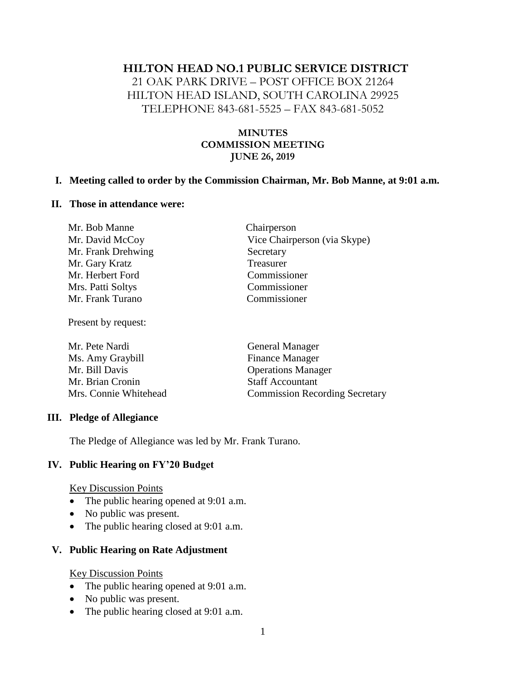## **HILTON HEAD NO.1 PUBLIC SERVICE DISTRICT**

21 OAK PARK DRIVE – POST OFFICE BOX 21264 HILTON HEAD ISLAND, SOUTH CAROLINA 29925 TELEPHONE 843-681-5525 – FAX 843-681-5052

## **MINUTES COMMISSION MEETING JUNE 26, 2019**

#### **I. Meeting called to order by the Commission Chairman, Mr. Bob Manne, at 9:01 a.m.**

#### **II. Those in attendance were:**

| Mr. Bob Manne      | Chairperson                  |
|--------------------|------------------------------|
| Mr. David McCoy    | Vice Chairperson (via Skype) |
| Mr. Frank Drehwing | Secretary                    |
| Mr. Gary Kratz     | Treasurer                    |
| Mr. Herbert Ford   | Commissioner                 |
| Mrs. Patti Soltys  | Commissioner                 |
| Mr. Frank Turano   | Commissioner                 |
|                    |                              |

Present by request:

| Mr. Pete Nardi        | <b>General Manager</b>                |
|-----------------------|---------------------------------------|
| Ms. Amy Graybill      | <b>Finance Manager</b>                |
| Mr. Bill Davis        | <b>Operations Manager</b>             |
| Mr. Brian Cronin      | <b>Staff Accountant</b>               |
| Mrs. Connie Whitehead | <b>Commission Recording Secretary</b> |
|                       |                                       |

#### **III. Pledge of Allegiance**

The Pledge of Allegiance was led by Mr. Frank Turano.

#### **IV. Public Hearing on FY'20 Budget**

Key Discussion Points

- The public hearing opened at 9:01 a.m.
- No public was present.
- The public hearing closed at 9:01 a.m.

## **V. Public Hearing on Rate Adjustment**

#### Key Discussion Points

- The public hearing opened at 9:01 a.m.
- No public was present.
- The public hearing closed at 9:01 a.m.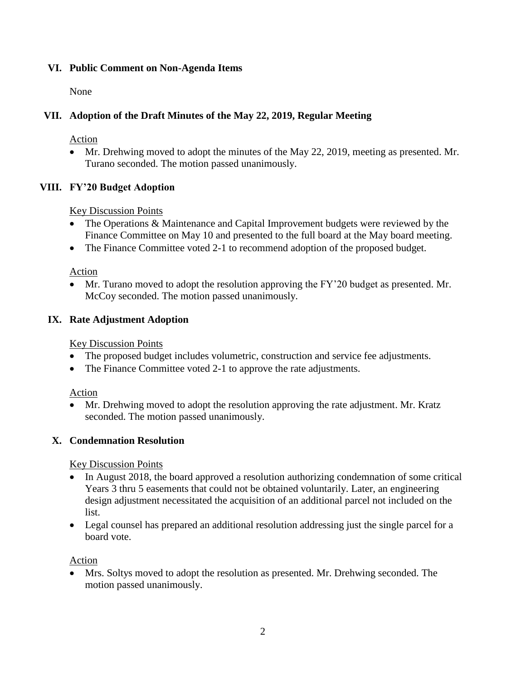# **VI. Public Comment on Non-Agenda Items**

None

# **VII. Adoption of the Draft Minutes of the May 22, 2019, Regular Meeting**

Action

• Mr. Drehwing moved to adopt the minutes of the May 22, 2019, meeting as presented. Mr. Turano seconded. The motion passed unanimously.

# **VIII. FY'20 Budget Adoption**

Key Discussion Points

- The Operations & Maintenance and Capital Improvement budgets were reviewed by the Finance Committee on May 10 and presented to the full board at the May board meeting.
- The Finance Committee voted 2-1 to recommend adoption of the proposed budget.

Action

• Mr. Turano moved to adopt the resolution approving the FY'20 budget as presented. Mr. McCoy seconded. The motion passed unanimously.

# **IX. Rate Adjustment Adoption**

Key Discussion Points

- The proposed budget includes volumetric, construction and service fee adjustments.
- The Finance Committee voted 2-1 to approve the rate adjustments.

Action

• Mr. Drehwing moved to adopt the resolution approving the rate adjustment. Mr. Kratz seconded. The motion passed unanimously.

## **X. Condemnation Resolution**

Key Discussion Points

- In August 2018, the board approved a resolution authorizing condemnation of some critical Years 3 thru 5 easements that could not be obtained voluntarily. Later, an engineering design adjustment necessitated the acquisition of an additional parcel not included on the list.
- Legal counsel has prepared an additional resolution addressing just the single parcel for a board vote.

Action

• Mrs. Soltys moved to adopt the resolution as presented. Mr. Drehwing seconded. The motion passed unanimously.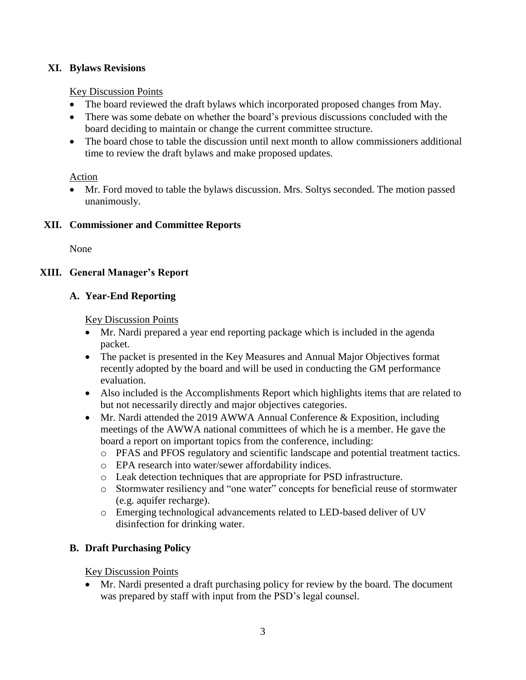## **XI. Bylaws Revisions**

## Key Discussion Points

- The board reviewed the draft bylaws which incorporated proposed changes from May.
- There was some debate on whether the board's previous discussions concluded with the board deciding to maintain or change the current committee structure.
- The board chose to table the discussion until next month to allow commissioners additional time to review the draft bylaws and make proposed updates.

# Action

• Mr. Ford moved to table the bylaws discussion. Mrs. Soltys seconded. The motion passed unanimously.

# **XII. Commissioner and Committee Reports**

None

# **XIII. General Manager's Report**

# **A. Year-End Reporting**

## Key Discussion Points

- Mr. Nardi prepared a year end reporting package which is included in the agenda packet.
- The packet is presented in the Key Measures and Annual Major Objectives format recently adopted by the board and will be used in conducting the GM performance evaluation.
- Also included is the Accomplishments Report which highlights items that are related to but not necessarily directly and major objectives categories.
- Mr. Nardi attended the 2019 AWWA Annual Conference & Exposition, including meetings of the AWWA national committees of which he is a member. He gave the board a report on important topics from the conference, including:
	- o PFAS and PFOS regulatory and scientific landscape and potential treatment tactics.
	- o EPA research into water/sewer affordability indices.
	- o Leak detection techniques that are appropriate for PSD infrastructure.
	- o Stormwater resiliency and "one water" concepts for beneficial reuse of stormwater (e.g. aquifer recharge).
	- o Emerging technological advancements related to LED-based deliver of UV disinfection for drinking water.

# **B. Draft Purchasing Policy**

Key Discussion Points

• Mr. Nardi presented a draft purchasing policy for review by the board. The document was prepared by staff with input from the PSD's legal counsel.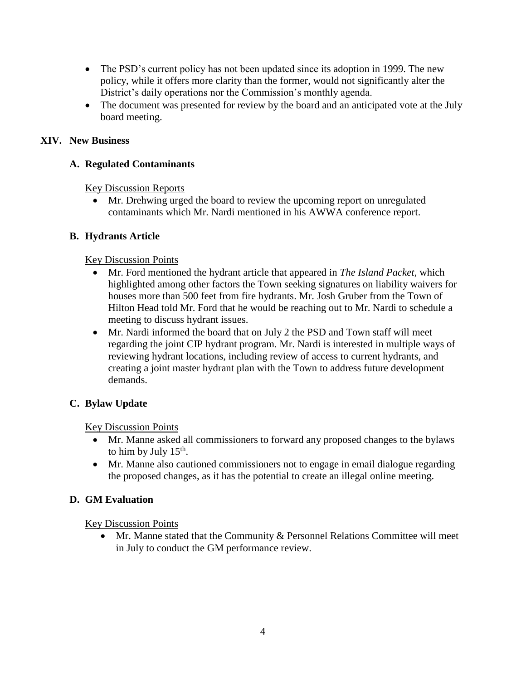- The PSD's current policy has not been updated since its adoption in 1999. The new policy, while it offers more clarity than the former, would not significantly alter the District's daily operations nor the Commission's monthly agenda.
- The document was presented for review by the board and an anticipated vote at the July board meeting.

## **XIV. New Business**

# **A. Regulated Contaminants**

Key Discussion Reports

• Mr. Drehwing urged the board to review the upcoming report on unregulated contaminants which Mr. Nardi mentioned in his AWWA conference report.

# **B. Hydrants Article**

# Key Discussion Points

- Mr. Ford mentioned the hydrant article that appeared in *The Island Packet*, which highlighted among other factors the Town seeking signatures on liability waivers for houses more than 500 feet from fire hydrants. Mr. Josh Gruber from the Town of Hilton Head told Mr. Ford that he would be reaching out to Mr. Nardi to schedule a meeting to discuss hydrant issues.
- Mr. Nardi informed the board that on July 2 the PSD and Town staff will meet regarding the joint CIP hydrant program. Mr. Nardi is interested in multiple ways of reviewing hydrant locations, including review of access to current hydrants, and creating a joint master hydrant plan with the Town to address future development demands.

# **C. Bylaw Update**

Key Discussion Points

- Mr. Manne asked all commissioners to forward any proposed changes to the bylaws to him by July  $15^{\text{th}}$ .
- Mr. Manne also cautioned commissioners not to engage in email dialogue regarding the proposed changes, as it has the potential to create an illegal online meeting.

# **D. GM Evaluation**

Key Discussion Points

• Mr. Manne stated that the Community & Personnel Relations Committee will meet in July to conduct the GM performance review.